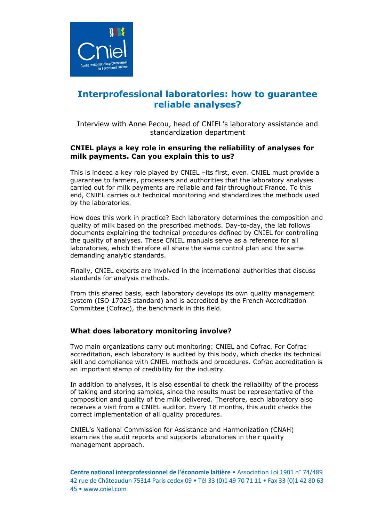

# **Interprofessional laboratories: how to guarantee reliable analyses?**

Interview with Anne Pecou, head of CNIEL's laboratory assistance and standardization department

## **CNIEL plays a key role in ensuring the reliability of analyses for milk payments. Can you explain this to us?**

This is indeed a key role played by CNIEL –its first, even. CNIEL must provide a guarantee to farmers, processers and authorities that the laboratory analyses carried out for milk payments are reliable and fair throughout France. To this end, CNIEL carries out technical monitoring and standardizes the methods used by the laboratories.

How does this work in practice? Each laboratory determines the composition and quality of milk based on the prescribed methods. Day-to-day, the lab follows documents explaining the technical procedures defined by CNIEL for controlling the quality of analyses. These CNIEL manuals serve as a reference for all laboratories, which therefore all share the same control plan and the same demanding analytic standards.

Finally, CNIEL experts are involved in the international authorities that discuss standards for analysis methods.

From this shared basis, each laboratory develops its own quality management system (ISO 17025 standard) and is accredited by the French Accreditation Committee (Cofrac), the benchmark in this field.

### **What does laboratory monitoring involve?**

Two main organizations carry out monitoring: CNIEL and Cofrac. For Cofrac accreditation, each laboratory is audited by this body, which checks its technical skill and compliance with CNIEL methods and procedures. Cofrac accreditation is an important stamp of credibility for the industry.

In addition to analyses, it is also essential to check the reliability of the process of taking and storing samples, since the results must be representative of the composition and quality of the milk delivered. Therefore, each laboratory also receives a visit from a CNIEL auditor. Every 18 months, this audit checks the correct implementation of all quality procedures.

CNIEL's National Commission for Assistance and Harmonization (CNAH) examines the audit reports and supports laboratories in their quality management approach.

**Centre national interprofessionnel de l'économie laitière** • Association Loi 1901 n° 74/489 42 rue de Châteaudun 75314 Paris cedex 09 • Tél 33 (0)1 49 70 71 11 • Fax 33 (0)1 42 80 63 45 • www.cniel.com